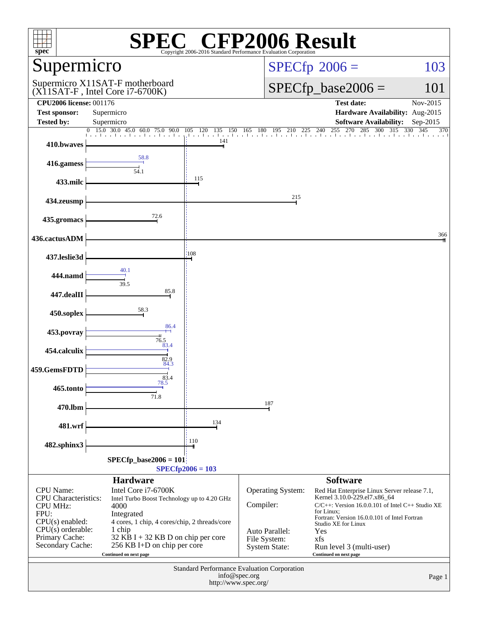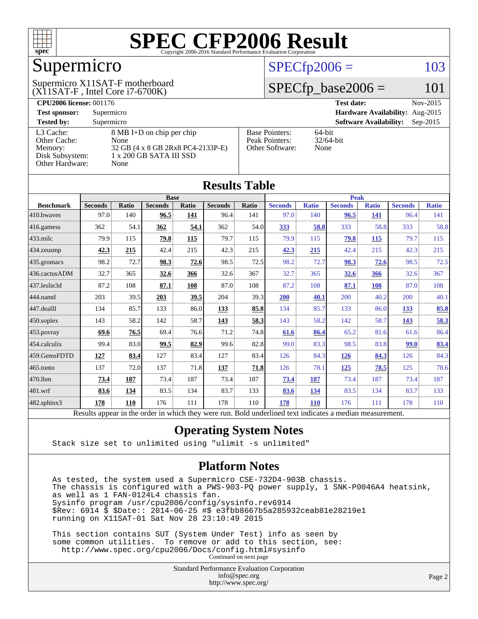

# Supermicro

(X11SAT-F , Intel Core i7-6700K) Supermicro X11SAT-F motherboard

### $SPECfp2006 = 103$  $SPECfp2006 = 103$

### $SPECfp\_base2006 = 101$

| <b>CPU2006 license: 001176</b> |                                   |                                 | <b>Test date:</b><br>Nov-2015               |  |  |  |
|--------------------------------|-----------------------------------|---------------------------------|---------------------------------------------|--|--|--|
| <b>Test sponsor:</b>           | Supermicro                        | Hardware Availability: Aug-2015 |                                             |  |  |  |
| <b>Tested by:</b>              | Supermicro                        |                                 | <b>Software Availability:</b><br>$Sep-2015$ |  |  |  |
| L3 Cache:                      | 8 MB I+D on chip per chip         | <b>Base Pointers:</b>           | $64$ -bit                                   |  |  |  |
| Other Cache:                   | None                              | Peak Pointers:                  | $32/64$ -bit                                |  |  |  |
| Memory:                        | 32 GB (4 x 8 GB 2Rx8 PC4-2133P-E) | Other Software:                 | None                                        |  |  |  |
| Disk Subsystem:                | $1 \times 200$ GB SATA III SSD    |                                 |                                             |  |  |  |
| <b>Other Hardware:</b>         | None                              |                                 |                                             |  |  |  |

**[Results Table](http://www.spec.org/auto/cpu2006/Docs/result-fields.html#ResultsTable)**

| Results Tadie    |                                                                                                          |       |                |       |                |             |                |              |                |              |                |              |
|------------------|----------------------------------------------------------------------------------------------------------|-------|----------------|-------|----------------|-------------|----------------|--------------|----------------|--------------|----------------|--------------|
|                  | <b>Base</b>                                                                                              |       |                |       |                | <b>Peak</b> |                |              |                |              |                |              |
| <b>Benchmark</b> | <b>Seconds</b>                                                                                           | Ratio | <b>Seconds</b> | Ratio | <b>Seconds</b> | Ratio       | <b>Seconds</b> | <b>Ratio</b> | <b>Seconds</b> | <b>Ratio</b> | <b>Seconds</b> | <b>Ratio</b> |
| 410.bwayes       | 97.0                                                                                                     | 140   | 96.5           | 141   | 96.4           | 141         | 97.0           | 140          | 96.5           | 141          | 96.4           | 141          |
| 416.gamess       | 362                                                                                                      | 54.1  | 362            | 54.1  | 362            | 54.0        | <u>333</u>     | 58.8         | 333            | 58.8         | 333            | 58.8         |
| 433.milc         | 79.9                                                                                                     | 115   | 79.8           | 115   | 79.7           | 115         | 79.9           | 115          | 79.8           | 115          | 79.7           | 115          |
| 434.zeusmp       | 42.3                                                                                                     | 215   | 42.4           | 215   | 42.3           | 215         | 42.3           | 215          | 42.4           | 215          | 42.3           | 215          |
| 435.gromacs      | 98.2                                                                                                     | 72.7  | 98.3           | 72.6  | 98.5           | 72.5        | 98.2           | 72.7         | 98.3           | 72.6         | 98.5           | 72.5         |
| 436.cactusADM    | 32.7                                                                                                     | 365   | 32.6           | 366   | 32.6           | 367         | 32.7           | 365          | 32.6           | 366          | 32.6           | 367          |
| 437.leslie3d     | 87.2                                                                                                     | 108   | 87.1           | 108   | 87.0           | 108         | 87.2           | 108          | 87.1           | 108          | 87.0           | 108          |
| 444.namd         | 203                                                                                                      | 39.5  | 203            | 39.5  | 204            | 39.3        | 200            | 40.1         | 200            | 40.2         | 200            | 40.1         |
| 447.dealII       | 134                                                                                                      | 85.7  | 133            | 86.0  | 133            | 85.8        | 134            | 85.7         | 133            | 86.0         | 133            | 85.8         |
| $450$ .soplex    | 143                                                                                                      | 58.2  | 142            | 58.7  | 143            | 58.3        | 143            | 58.2         | 142            | 58.7         | 143            | 58.3         |
| 453.povray       | 69.6                                                                                                     | 76.5  | 69.4           | 76.6  | 71.2           | 74.8        | 61.6           | 86.4         | 65.2           | 81.6         | 61.6           | 86.4         |
| 454.calculix     | 99.4                                                                                                     | 83.0  | 99.5           | 82.9  | 99.6           | 82.8        | 99.0           | 83.3         | 98.5           | 83.8         | 99.0           | 83.4         |
| 459.GemsFDTD     | 127                                                                                                      | 83.4  | 127            | 83.4  | 127            | 83.4        | 126            | 84.3         | 126            | 84.3         | 126            | 84.3         |
| $465$ .tonto     | 137                                                                                                      | 72.0  | 137            | 71.8  | 137            | 71.8        | 126            | 78.1         | 125            | 78.5         | 125            | 78.6         |
| 470.1bm          | 73.4                                                                                                     | 187   | 73.4           | 187   | 73.4           | 187         | 73.4           | 187          | 73.4           | 187          | 73.4           | 187          |
| 481.wrf          | 83.6                                                                                                     | 134   | 83.5           | 134   | 83.7           | 133         | 83.6           | <u>134</u>   | 83.5           | 134          | 83.7           | 133          |
| 482.sphinx3      | 178                                                                                                      | 110   | 176            | 111   | 178            | 110         | 178            | 110          | 176            | 111          | 178            | 110          |
|                  | Results appear in the order in which they were run. Bold underlined text indicates a median measurement. |       |                |       |                |             |                |              |                |              |                |              |

#### **[Operating System Notes](http://www.spec.org/auto/cpu2006/Docs/result-fields.html#OperatingSystemNotes)**

Stack size set to unlimited using "ulimit -s unlimited"

#### **[Platform Notes](http://www.spec.org/auto/cpu2006/Docs/result-fields.html#PlatformNotes)**

 As tested, the system used a Supermicro CSE-732D4-903B chassis. The chassis is configured with a PWS-903-PQ power supply, 1 SNK-P0046A4 heatsink, as well as 1 FAN-0124L4 chassis fan. Sysinfo program /usr/cpu2006/config/sysinfo.rev6914 \$Rev: 6914 \$ \$Date:: 2014-06-25 #\$ e3fbb8667b5a285932ceab81e28219e1 running on X11SAT-01 Sat Nov 28 23:10:49 2015

 This section contains SUT (System Under Test) info as seen by some common utilities. To remove or add to this section, see: <http://www.spec.org/cpu2006/Docs/config.html#sysinfo> Continued on next page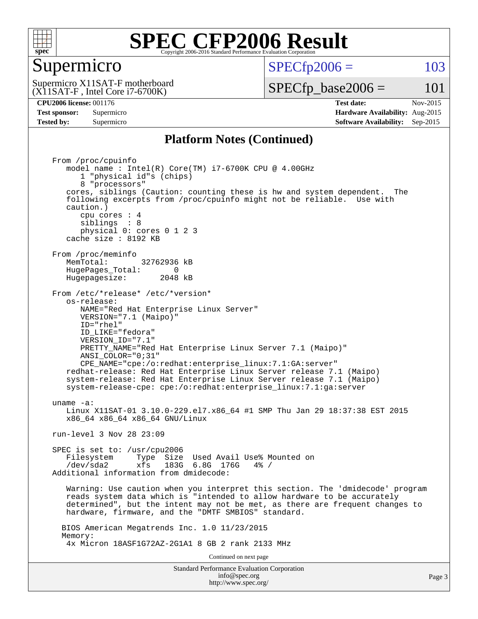

### Supermicro

 $SPECTp2006 = 103$ 

(X11SAT-F , Intel Core i7-6700K) Supermicro X11SAT-F motherboard  $SPECfp\_base2006 = 101$ 

**[CPU2006 license:](http://www.spec.org/auto/cpu2006/Docs/result-fields.html#CPU2006license)** 001176 **[Test date:](http://www.spec.org/auto/cpu2006/Docs/result-fields.html#Testdate)** Nov-2015 **[Test sponsor:](http://www.spec.org/auto/cpu2006/Docs/result-fields.html#Testsponsor)** Supermicro **[Hardware Availability:](http://www.spec.org/auto/cpu2006/Docs/result-fields.html#HardwareAvailability)** Aug-2015 **[Tested by:](http://www.spec.org/auto/cpu2006/Docs/result-fields.html#Testedby)** Supermicro **Supermicro [Software Availability:](http://www.spec.org/auto/cpu2006/Docs/result-fields.html#SoftwareAvailability)** Sep-2015

#### **[Platform Notes \(Continued\)](http://www.spec.org/auto/cpu2006/Docs/result-fields.html#PlatformNotes)**

Standard Performance Evaluation Corporation [info@spec.org](mailto:info@spec.org) From /proc/cpuinfo model name : Intel(R) Core(TM) i7-6700K CPU @ 4.00GHz 1 "physical id"s (chips) 8 "processors" cores, siblings (Caution: counting these is hw and system dependent. The following excerpts from /proc/cpuinfo might not be reliable. Use with caution.) cpu cores : 4 siblings : 8 physical 0: cores 0 1 2 3 cache size : 8192 KB From /proc/meminfo<br>MemTotal: 32762936 kB HugePages\_Total: 0<br>Hugepagesize: 2048 kB Hugepagesize: From /etc/\*release\* /etc/\*version\* os-release: NAME="Red Hat Enterprise Linux Server" VERSION="7.1 (Maipo)" ID="rhel" ID\_LIKE="fedora" VERSION\_ID="7.1" PRETTY\_NAME="Red Hat Enterprise Linux Server 7.1 (Maipo)" ANSI\_COLOR="0;31" CPE\_NAME="cpe:/o:redhat:enterprise\_linux:7.1:GA:server" redhat-release: Red Hat Enterprise Linux Server release 7.1 (Maipo) system-release: Red Hat Enterprise Linux Server release 7.1 (Maipo) system-release-cpe: cpe:/o:redhat:enterprise\_linux:7.1:ga:server uname -a: Linux X11SAT-01 3.10.0-229.el7.x86\_64 #1 SMP Thu Jan 29 18:37:38 EST 2015 x86\_64 x86\_64 x86\_64 GNU/Linux run-level 3 Nov 28 23:09 SPEC is set to: /usr/cpu2006 Filesystem Type Size Used Avail Use% Mounted on<br>  $\frac{1}{2}$  /dev/sda2 xfs 183G 6.8G 176G 4% / Additional information from dmidecode: Warning: Use caution when you interpret this section. The 'dmidecode' program reads system data which is "intended to allow hardware to be accurately determined", but the intent may not be met, as there are frequent changes to hardware, firmware, and the "DMTF SMBIOS" standard. BIOS American Megatrends Inc. 1.0 11/23/2015 Memory: 4x Micron 18ASF1G72AZ-2G1A1 8 GB 2 rank 2133 MHz Continued on next page

<http://www.spec.org/>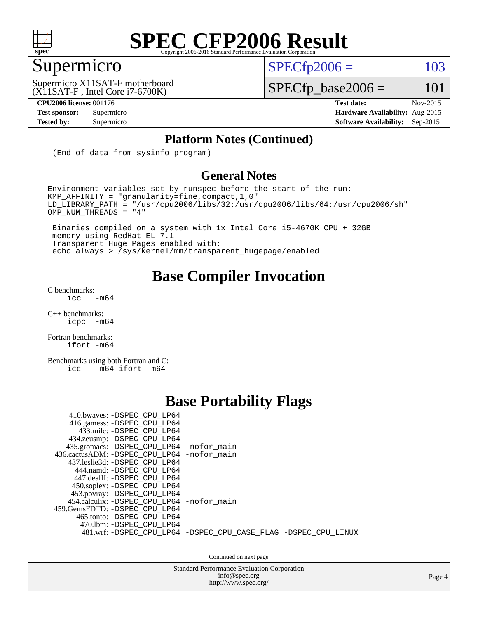

# Supermicro

 $SPECTp2006 = 103$ 

(X11SAT-F , Intel Core i7-6700K) Supermicro X11SAT-F motherboard

**[CPU2006 license:](http://www.spec.org/auto/cpu2006/Docs/result-fields.html#CPU2006license)** 001176 **[Test date:](http://www.spec.org/auto/cpu2006/Docs/result-fields.html#Testdate)** Nov-2015

 $SPECfp\_base2006 = 101$ 

**[Test sponsor:](http://www.spec.org/auto/cpu2006/Docs/result-fields.html#Testsponsor)** Supermicro **[Hardware Availability:](http://www.spec.org/auto/cpu2006/Docs/result-fields.html#HardwareAvailability)** Aug-2015 **[Tested by:](http://www.spec.org/auto/cpu2006/Docs/result-fields.html#Testedby)** Supermicro **[Software Availability:](http://www.spec.org/auto/cpu2006/Docs/result-fields.html#SoftwareAvailability)** Sep-2015

#### **[Platform Notes \(Continued\)](http://www.spec.org/auto/cpu2006/Docs/result-fields.html#PlatformNotes)**

(End of data from sysinfo program)

#### **[General Notes](http://www.spec.org/auto/cpu2006/Docs/result-fields.html#GeneralNotes)**

Environment variables set by runspec before the start of the run: KMP\_AFFINITY = "granularity=fine,compact,1,0"  $LD$ \_LIBRARY\_PATH = "/usr/cpu2006/libs/32:/usr/cpu2006/libs/64:/usr/cpu2006/sh"  $OMP_NUM_THREADS = "4"$ 

 Binaries compiled on a system with 1x Intel Core i5-4670K CPU + 32GB memory using RedHat EL 7.1 Transparent Huge Pages enabled with: echo always > /sys/kernel/mm/transparent\_hugepage/enabled

### **[Base Compiler Invocation](http://www.spec.org/auto/cpu2006/Docs/result-fields.html#BaseCompilerInvocation)**

[C benchmarks](http://www.spec.org/auto/cpu2006/Docs/result-fields.html#Cbenchmarks):  $\text{icc}$  -m64

 $C++$  benchmarks:<br>icpc  $-m$ -m64

[Fortran benchmarks](http://www.spec.org/auto/cpu2006/Docs/result-fields.html#Fortranbenchmarks): [ifort -m64](http://www.spec.org/cpu2006/results/res2016q1/cpu2006-20160107-38616.flags.html#user_FCbase_intel_ifort_64bit_ee9d0fb25645d0210d97eb0527dcc06e)

[Benchmarks using both Fortran and C](http://www.spec.org/auto/cpu2006/Docs/result-fields.html#BenchmarksusingbothFortranandC): [icc -m64](http://www.spec.org/cpu2006/results/res2016q1/cpu2006-20160107-38616.flags.html#user_CC_FCbase_intel_icc_64bit_0b7121f5ab7cfabee23d88897260401c) [ifort -m64](http://www.spec.org/cpu2006/results/res2016q1/cpu2006-20160107-38616.flags.html#user_CC_FCbase_intel_ifort_64bit_ee9d0fb25645d0210d97eb0527dcc06e)

### **[Base Portability Flags](http://www.spec.org/auto/cpu2006/Docs/result-fields.html#BasePortabilityFlags)**

| 410.bwaves: -DSPEC CPU LP64<br>416.gamess: -DSPEC_CPU_LP64<br>433.milc: -DSPEC CPU LP64<br>434.zeusmp: -DSPEC_CPU_LP64<br>435.gromacs: -DSPEC_CPU_LP64 -nofor_main<br>436.cactusADM: -DSPEC CPU LP64 -nofor main<br>437.leslie3d: -DSPEC CPU LP64<br>444.namd: -DSPEC CPU LP64<br>447.dealII: -DSPEC CPU LP64 |                                                                |
|---------------------------------------------------------------------------------------------------------------------------------------------------------------------------------------------------------------------------------------------------------------------------------------------------------------|----------------------------------------------------------------|
| 450.soplex: -DSPEC_CPU_LP64<br>453.povray: -DSPEC_CPU_LP64<br>454.calculix: -DSPEC CPU LP64 -nofor main<br>459. GemsFDTD: - DSPEC CPU LP64<br>465.tonto: - DSPEC CPU LP64<br>470.1bm: - DSPEC CPU LP64                                                                                                        | 481.wrf: -DSPEC CPU_LP64 -DSPEC_CPU_CASE_FLAG -DSPEC_CPU_LINUX |

Continued on next page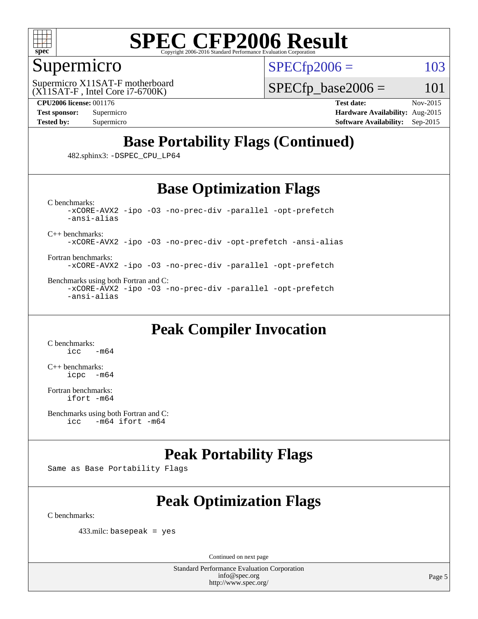

## Supermicro

 $SPECTp2006 = 103$ 

(X11SAT-F , Intel Core i7-6700K) Supermicro X11SAT-F motherboard  $SPECTp\_base2006 = 101$ 

**[CPU2006 license:](http://www.spec.org/auto/cpu2006/Docs/result-fields.html#CPU2006license)** 001176 **[Test date:](http://www.spec.org/auto/cpu2006/Docs/result-fields.html#Testdate)** Nov-2015 **[Test sponsor:](http://www.spec.org/auto/cpu2006/Docs/result-fields.html#Testsponsor)** Supermicro **[Hardware Availability:](http://www.spec.org/auto/cpu2006/Docs/result-fields.html#HardwareAvailability)** Aug-2015 **[Tested by:](http://www.spec.org/auto/cpu2006/Docs/result-fields.html#Testedby)** Supermicro **Supermicro [Software Availability:](http://www.spec.org/auto/cpu2006/Docs/result-fields.html#SoftwareAvailability)** Sep-2015

# **[Base Portability Flags \(Continued\)](http://www.spec.org/auto/cpu2006/Docs/result-fields.html#BasePortabilityFlags)**

482.sphinx3: [-DSPEC\\_CPU\\_LP64](http://www.spec.org/cpu2006/results/res2016q1/cpu2006-20160107-38616.flags.html#suite_basePORTABILITY482_sphinx3_DSPEC_CPU_LP64)

# **[Base Optimization Flags](http://www.spec.org/auto/cpu2006/Docs/result-fields.html#BaseOptimizationFlags)**

[C benchmarks](http://www.spec.org/auto/cpu2006/Docs/result-fields.html#Cbenchmarks): [-xCORE-AVX2](http://www.spec.org/cpu2006/results/res2016q1/cpu2006-20160107-38616.flags.html#user_CCbase_f-xAVX2_5f5fc0cbe2c9f62c816d3e45806c70d7) [-ipo](http://www.spec.org/cpu2006/results/res2016q1/cpu2006-20160107-38616.flags.html#user_CCbase_f-ipo) [-O3](http://www.spec.org/cpu2006/results/res2016q1/cpu2006-20160107-38616.flags.html#user_CCbase_f-O3) [-no-prec-div](http://www.spec.org/cpu2006/results/res2016q1/cpu2006-20160107-38616.flags.html#user_CCbase_f-no-prec-div) [-parallel](http://www.spec.org/cpu2006/results/res2016q1/cpu2006-20160107-38616.flags.html#user_CCbase_f-parallel) [-opt-prefetch](http://www.spec.org/cpu2006/results/res2016q1/cpu2006-20160107-38616.flags.html#user_CCbase_f-opt-prefetch) [-ansi-alias](http://www.spec.org/cpu2006/results/res2016q1/cpu2006-20160107-38616.flags.html#user_CCbase_f-ansi-alias)

[C++ benchmarks:](http://www.spec.org/auto/cpu2006/Docs/result-fields.html#CXXbenchmarks)

[-xCORE-AVX2](http://www.spec.org/cpu2006/results/res2016q1/cpu2006-20160107-38616.flags.html#user_CXXbase_f-xAVX2_5f5fc0cbe2c9f62c816d3e45806c70d7) [-ipo](http://www.spec.org/cpu2006/results/res2016q1/cpu2006-20160107-38616.flags.html#user_CXXbase_f-ipo) [-O3](http://www.spec.org/cpu2006/results/res2016q1/cpu2006-20160107-38616.flags.html#user_CXXbase_f-O3) [-no-prec-div](http://www.spec.org/cpu2006/results/res2016q1/cpu2006-20160107-38616.flags.html#user_CXXbase_f-no-prec-div) [-opt-prefetch](http://www.spec.org/cpu2006/results/res2016q1/cpu2006-20160107-38616.flags.html#user_CXXbase_f-opt-prefetch) [-ansi-alias](http://www.spec.org/cpu2006/results/res2016q1/cpu2006-20160107-38616.flags.html#user_CXXbase_f-ansi-alias)

[Fortran benchmarks](http://www.spec.org/auto/cpu2006/Docs/result-fields.html#Fortranbenchmarks): [-xCORE-AVX2](http://www.spec.org/cpu2006/results/res2016q1/cpu2006-20160107-38616.flags.html#user_FCbase_f-xAVX2_5f5fc0cbe2c9f62c816d3e45806c70d7) [-ipo](http://www.spec.org/cpu2006/results/res2016q1/cpu2006-20160107-38616.flags.html#user_FCbase_f-ipo) [-O3](http://www.spec.org/cpu2006/results/res2016q1/cpu2006-20160107-38616.flags.html#user_FCbase_f-O3) [-no-prec-div](http://www.spec.org/cpu2006/results/res2016q1/cpu2006-20160107-38616.flags.html#user_FCbase_f-no-prec-div) [-parallel](http://www.spec.org/cpu2006/results/res2016q1/cpu2006-20160107-38616.flags.html#user_FCbase_f-parallel) [-opt-prefetch](http://www.spec.org/cpu2006/results/res2016q1/cpu2006-20160107-38616.flags.html#user_FCbase_f-opt-prefetch)

[Benchmarks using both Fortran and C](http://www.spec.org/auto/cpu2006/Docs/result-fields.html#BenchmarksusingbothFortranandC): [-xCORE-AVX2](http://www.spec.org/cpu2006/results/res2016q1/cpu2006-20160107-38616.flags.html#user_CC_FCbase_f-xAVX2_5f5fc0cbe2c9f62c816d3e45806c70d7) [-ipo](http://www.spec.org/cpu2006/results/res2016q1/cpu2006-20160107-38616.flags.html#user_CC_FCbase_f-ipo) [-O3](http://www.spec.org/cpu2006/results/res2016q1/cpu2006-20160107-38616.flags.html#user_CC_FCbase_f-O3) [-no-prec-div](http://www.spec.org/cpu2006/results/res2016q1/cpu2006-20160107-38616.flags.html#user_CC_FCbase_f-no-prec-div) [-parallel](http://www.spec.org/cpu2006/results/res2016q1/cpu2006-20160107-38616.flags.html#user_CC_FCbase_f-parallel) [-opt-prefetch](http://www.spec.org/cpu2006/results/res2016q1/cpu2006-20160107-38616.flags.html#user_CC_FCbase_f-opt-prefetch) [-ansi-alias](http://www.spec.org/cpu2006/results/res2016q1/cpu2006-20160107-38616.flags.html#user_CC_FCbase_f-ansi-alias)

# **[Peak Compiler Invocation](http://www.spec.org/auto/cpu2006/Docs/result-fields.html#PeakCompilerInvocation)**

[C benchmarks](http://www.spec.org/auto/cpu2006/Docs/result-fields.html#Cbenchmarks):  $-m64$ 

[C++ benchmarks:](http://www.spec.org/auto/cpu2006/Docs/result-fields.html#CXXbenchmarks) [icpc -m64](http://www.spec.org/cpu2006/results/res2016q1/cpu2006-20160107-38616.flags.html#user_CXXpeak_intel_icpc_64bit_bedb90c1146cab66620883ef4f41a67e)

[Fortran benchmarks](http://www.spec.org/auto/cpu2006/Docs/result-fields.html#Fortranbenchmarks): [ifort -m64](http://www.spec.org/cpu2006/results/res2016q1/cpu2006-20160107-38616.flags.html#user_FCpeak_intel_ifort_64bit_ee9d0fb25645d0210d97eb0527dcc06e)

# **[Peak Portability Flags](http://www.spec.org/auto/cpu2006/Docs/result-fields.html#PeakPortabilityFlags)**

Same as Base Portability Flags

# **[Peak Optimization Flags](http://www.spec.org/auto/cpu2006/Docs/result-fields.html#PeakOptimizationFlags)**

[C benchmarks](http://www.spec.org/auto/cpu2006/Docs/result-fields.html#Cbenchmarks):

433.milc: basepeak = yes

Continued on next page

[Benchmarks using both Fortran and C](http://www.spec.org/auto/cpu2006/Docs/result-fields.html#BenchmarksusingbothFortranandC): [icc -m64](http://www.spec.org/cpu2006/results/res2016q1/cpu2006-20160107-38616.flags.html#user_CC_FCpeak_intel_icc_64bit_0b7121f5ab7cfabee23d88897260401c) [ifort -m64](http://www.spec.org/cpu2006/results/res2016q1/cpu2006-20160107-38616.flags.html#user_CC_FCpeak_intel_ifort_64bit_ee9d0fb25645d0210d97eb0527dcc06e)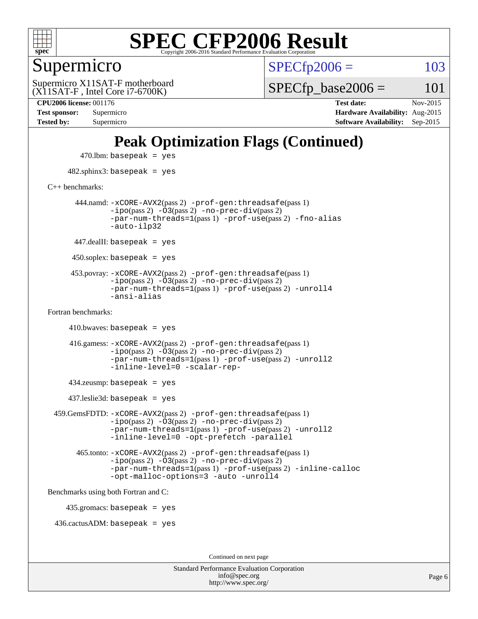

### Supermicro

 $SPECTp2006 = 103$ 

(X11SAT-F , Intel Core i7-6700K) Supermicro X11SAT-F motherboard  $SPECTp\_base2006 = 101$ 

**[CPU2006 license:](http://www.spec.org/auto/cpu2006/Docs/result-fields.html#CPU2006license)** 001176 **[Test date:](http://www.spec.org/auto/cpu2006/Docs/result-fields.html#Testdate)** Nov-2015 **[Test sponsor:](http://www.spec.org/auto/cpu2006/Docs/result-fields.html#Testsponsor)** Supermicro **[Hardware Availability:](http://www.spec.org/auto/cpu2006/Docs/result-fields.html#HardwareAvailability)** Aug-2015 **[Tested by:](http://www.spec.org/auto/cpu2006/Docs/result-fields.html#Testedby)** Supermicro **[Software Availability:](http://www.spec.org/auto/cpu2006/Docs/result-fields.html#SoftwareAvailability)** Sep-2015

# **[Peak Optimization Flags \(Continued\)](http://www.spec.org/auto/cpu2006/Docs/result-fields.html#PeakOptimizationFlags)**

 $470$ .lbm: basepeak = yes 482.sphinx3: basepeak = yes [C++ benchmarks:](http://www.spec.org/auto/cpu2006/Docs/result-fields.html#CXXbenchmarks) 444.namd: [-xCORE-AVX2](http://www.spec.org/cpu2006/results/res2016q1/cpu2006-20160107-38616.flags.html#user_peakPASS2_CXXFLAGSPASS2_LDFLAGS444_namd_f-xAVX2_5f5fc0cbe2c9f62c816d3e45806c70d7)(pass 2) [-prof-gen:threadsafe](http://www.spec.org/cpu2006/results/res2016q1/cpu2006-20160107-38616.flags.html#user_peakPASS1_CXXFLAGSPASS1_LDFLAGS444_namd_prof_gen_21a26eb79f378b550acd7bec9fe4467a)(pass 1)  $-i\text{po}(pass 2) -\overline{0}3(pass 2) -no-prec-div(pass 2)$  $-i\text{po}(pass 2) -\overline{0}3(pass 2) -no-prec-div(pass 2)$  $-i\text{po}(pass 2) -\overline{0}3(pass 2) -no-prec-div(pass 2)$ [-par-num-threads=1](http://www.spec.org/cpu2006/results/res2016q1/cpu2006-20160107-38616.flags.html#user_peakPASS1_CXXFLAGSPASS1_LDFLAGS444_namd_par_num_threads_786a6ff141b4e9e90432e998842df6c2)(pass 1) [-prof-use](http://www.spec.org/cpu2006/results/res2016q1/cpu2006-20160107-38616.flags.html#user_peakPASS2_CXXFLAGSPASS2_LDFLAGS444_namd_prof_use_bccf7792157ff70d64e32fe3e1250b55)(pass 2) [-fno-alias](http://www.spec.org/cpu2006/results/res2016q1/cpu2006-20160107-38616.flags.html#user_peakCXXOPTIMIZEOPTIMIZE444_namd_f-no-alias_694e77f6c5a51e658e82ccff53a9e63a) [-auto-ilp32](http://www.spec.org/cpu2006/results/res2016q1/cpu2006-20160107-38616.flags.html#user_peakCXXOPTIMIZE444_namd_f-auto-ilp32)  $447$ .dealII: basepeak = yes 450.soplex: basepeak = yes 453.povray: [-xCORE-AVX2](http://www.spec.org/cpu2006/results/res2016q1/cpu2006-20160107-38616.flags.html#user_peakPASS2_CXXFLAGSPASS2_LDFLAGS453_povray_f-xAVX2_5f5fc0cbe2c9f62c816d3e45806c70d7)(pass 2) [-prof-gen:threadsafe](http://www.spec.org/cpu2006/results/res2016q1/cpu2006-20160107-38616.flags.html#user_peakPASS1_CXXFLAGSPASS1_LDFLAGS453_povray_prof_gen_21a26eb79f378b550acd7bec9fe4467a)(pass 1)  $-ipo(pass 2)$  $-ipo(pass 2)$   $-03(pass 2)$   $-no-prec-div(pass 2)$  $-no-prec-div(pass 2)$ [-par-num-threads=1](http://www.spec.org/cpu2006/results/res2016q1/cpu2006-20160107-38616.flags.html#user_peakPASS1_CXXFLAGSPASS1_LDFLAGS453_povray_par_num_threads_786a6ff141b4e9e90432e998842df6c2)(pass 1) [-prof-use](http://www.spec.org/cpu2006/results/res2016q1/cpu2006-20160107-38616.flags.html#user_peakPASS2_CXXFLAGSPASS2_LDFLAGS453_povray_prof_use_bccf7792157ff70d64e32fe3e1250b55)(pass 2) [-unroll4](http://www.spec.org/cpu2006/results/res2016q1/cpu2006-20160107-38616.flags.html#user_peakCXXOPTIMIZE453_povray_f-unroll_4e5e4ed65b7fd20bdcd365bec371b81f) [-ansi-alias](http://www.spec.org/cpu2006/results/res2016q1/cpu2006-20160107-38616.flags.html#user_peakCXXOPTIMIZE453_povray_f-ansi-alias) [Fortran benchmarks](http://www.spec.org/auto/cpu2006/Docs/result-fields.html#Fortranbenchmarks):  $410.bwaves: basepeak = yes$  416.gamess: [-xCORE-AVX2](http://www.spec.org/cpu2006/results/res2016q1/cpu2006-20160107-38616.flags.html#user_peakPASS2_FFLAGSPASS2_LDFLAGS416_gamess_f-xAVX2_5f5fc0cbe2c9f62c816d3e45806c70d7)(pass 2) [-prof-gen:threadsafe](http://www.spec.org/cpu2006/results/res2016q1/cpu2006-20160107-38616.flags.html#user_peakPASS1_FFLAGSPASS1_LDFLAGS416_gamess_prof_gen_21a26eb79f378b550acd7bec9fe4467a)(pass 1)  $-i\text{po}(pass 2)$   $-\tilde{O}3(pass 2)$   $-no-prec-div(pass 2)$  $-no-prec-div(pass 2)$ [-par-num-threads=1](http://www.spec.org/cpu2006/results/res2016q1/cpu2006-20160107-38616.flags.html#user_peakPASS1_FFLAGSPASS1_LDFLAGS416_gamess_par_num_threads_786a6ff141b4e9e90432e998842df6c2)(pass 1) [-prof-use](http://www.spec.org/cpu2006/results/res2016q1/cpu2006-20160107-38616.flags.html#user_peakPASS2_FFLAGSPASS2_LDFLAGS416_gamess_prof_use_bccf7792157ff70d64e32fe3e1250b55)(pass 2) [-unroll2](http://www.spec.org/cpu2006/results/res2016q1/cpu2006-20160107-38616.flags.html#user_peakOPTIMIZE416_gamess_f-unroll_784dae83bebfb236979b41d2422d7ec2) [-inline-level=0](http://www.spec.org/cpu2006/results/res2016q1/cpu2006-20160107-38616.flags.html#user_peakOPTIMIZE416_gamess_f-inline-level_318d07a09274ad25e8d15dbfaa68ba50) [-scalar-rep-](http://www.spec.org/cpu2006/results/res2016q1/cpu2006-20160107-38616.flags.html#user_peakOPTIMIZE416_gamess_f-disablescalarrep_abbcad04450fb118e4809c81d83c8a1d) 434.zeusmp: basepeak = yes 437.leslie3d: basepeak = yes 459.GemsFDTD: [-xCORE-AVX2](http://www.spec.org/cpu2006/results/res2016q1/cpu2006-20160107-38616.flags.html#user_peakPASS2_FFLAGSPASS2_LDFLAGS459_GemsFDTD_f-xAVX2_5f5fc0cbe2c9f62c816d3e45806c70d7)(pass 2) [-prof-gen:threadsafe](http://www.spec.org/cpu2006/results/res2016q1/cpu2006-20160107-38616.flags.html#user_peakPASS1_FFLAGSPASS1_LDFLAGS459_GemsFDTD_prof_gen_21a26eb79f378b550acd7bec9fe4467a)(pass 1)  $-i\text{po}(pass 2) -\overline{0}3(pass 2) -no-prec-div(pass 2)$  $-i\text{po}(pass 2) -\overline{0}3(pass 2) -no-prec-div(pass 2)$  $-i\text{po}(pass 2) -\overline{0}3(pass 2) -no-prec-div(pass 2)$ [-par-num-threads=1](http://www.spec.org/cpu2006/results/res2016q1/cpu2006-20160107-38616.flags.html#user_peakPASS1_FFLAGSPASS1_LDFLAGS459_GemsFDTD_par_num_threads_786a6ff141b4e9e90432e998842df6c2)(pass 1) [-prof-use](http://www.spec.org/cpu2006/results/res2016q1/cpu2006-20160107-38616.flags.html#user_peakPASS2_FFLAGSPASS2_LDFLAGS459_GemsFDTD_prof_use_bccf7792157ff70d64e32fe3e1250b55)(pass 2) [-unroll2](http://www.spec.org/cpu2006/results/res2016q1/cpu2006-20160107-38616.flags.html#user_peakOPTIMIZE459_GemsFDTD_f-unroll_784dae83bebfb236979b41d2422d7ec2) [-inline-level=0](http://www.spec.org/cpu2006/results/res2016q1/cpu2006-20160107-38616.flags.html#user_peakOPTIMIZE459_GemsFDTD_f-inline-level_318d07a09274ad25e8d15dbfaa68ba50) [-opt-prefetch](http://www.spec.org/cpu2006/results/res2016q1/cpu2006-20160107-38616.flags.html#user_peakOPTIMIZE459_GemsFDTD_f-opt-prefetch) [-parallel](http://www.spec.org/cpu2006/results/res2016q1/cpu2006-20160107-38616.flags.html#user_peakOPTIMIZE459_GemsFDTD_f-parallel) 465.tonto: [-xCORE-AVX2](http://www.spec.org/cpu2006/results/res2016q1/cpu2006-20160107-38616.flags.html#user_peakPASS2_FFLAGSPASS2_LDFLAGS465_tonto_f-xAVX2_5f5fc0cbe2c9f62c816d3e45806c70d7)(pass 2) [-prof-gen:threadsafe](http://www.spec.org/cpu2006/results/res2016q1/cpu2006-20160107-38616.flags.html#user_peakPASS1_FFLAGSPASS1_LDFLAGS465_tonto_prof_gen_21a26eb79f378b550acd7bec9fe4467a)(pass 1)  $-i\text{po}(pass 2) -\overline{O}3(pass 2)$  [-no-prec-div](http://www.spec.org/cpu2006/results/res2016q1/cpu2006-20160107-38616.flags.html#user_peakPASS2_FFLAGSPASS2_LDFLAGS465_tonto_f-no-prec-div)(pass 2) [-par-num-threads=1](http://www.spec.org/cpu2006/results/res2016q1/cpu2006-20160107-38616.flags.html#user_peakPASS1_FFLAGSPASS1_LDFLAGS465_tonto_par_num_threads_786a6ff141b4e9e90432e998842df6c2)(pass 1) [-prof-use](http://www.spec.org/cpu2006/results/res2016q1/cpu2006-20160107-38616.flags.html#user_peakPASS2_FFLAGSPASS2_LDFLAGS465_tonto_prof_use_bccf7792157ff70d64e32fe3e1250b55)(pass 2) [-inline-calloc](http://www.spec.org/cpu2006/results/res2016q1/cpu2006-20160107-38616.flags.html#user_peakOPTIMIZE465_tonto_f-inline-calloc) [-opt-malloc-options=3](http://www.spec.org/cpu2006/results/res2016q1/cpu2006-20160107-38616.flags.html#user_peakOPTIMIZE465_tonto_f-opt-malloc-options_13ab9b803cf986b4ee62f0a5998c2238) [-auto](http://www.spec.org/cpu2006/results/res2016q1/cpu2006-20160107-38616.flags.html#user_peakOPTIMIZE465_tonto_f-auto) [-unroll4](http://www.spec.org/cpu2006/results/res2016q1/cpu2006-20160107-38616.flags.html#user_peakOPTIMIZE465_tonto_f-unroll_4e5e4ed65b7fd20bdcd365bec371b81f) [Benchmarks using both Fortran and C](http://www.spec.org/auto/cpu2006/Docs/result-fields.html#BenchmarksusingbothFortranandC): 435.gromacs: basepeak = yes 436.cactusADM: basepeak = yes Continued on next page